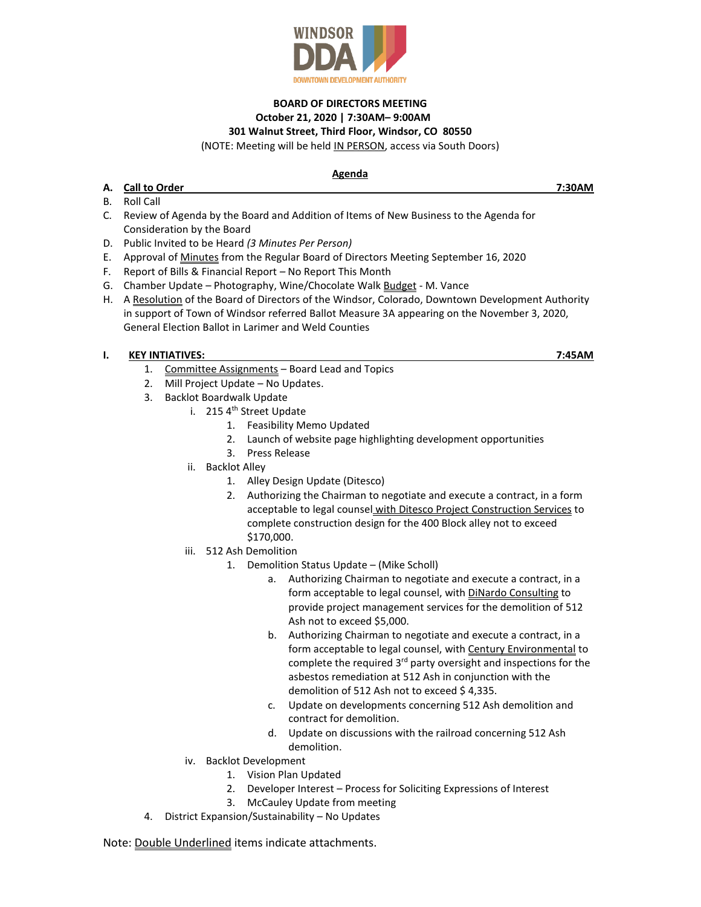

## **BOARD OF DIRECTORS MEETING October 21, 2020 | 7:30AM– 9:00AM 301 Walnut Street, Third Floor, Windsor, CO 80550**

(NOTE: Meeting will be held IN PERSON, access via South Doors)

## **Agenda**

- **A. Call to Order 7:30AM**
- B. Roll Call
- C. Review of Agenda by the Board and Addition of Items of New Business to the Agenda for Consideration by the Board
- D. Public Invited to be Heard *(3 Minutes Per Person)*
- E. Approval of Minutes from the Regular Board of Directors Meeting September 16, 2020
- F. Report of Bills & Financial Report *–* No Report This Month
- G. Chamber Update Photography, Wine/Chocolate Walk Budget M. Vance
- H. A Resolution of the Board of Directors of the Windsor, Colorado, Downtown Development Authority in support of Town of Windsor referred Ballot Measure 3A appearing on the November 3, 2020, General Election Ballot in Larimer and Weld Counties

## **I. KEY INTIATIVES: 7:45AM**

- 1. Committee Assignments Board Lead and Topics
- 2. Mill Project Update No Updates.
- 3. Backlot Boardwalk Update
	- i. 215 4<sup>th</sup> Street Update
		- 1. Feasibility Memo Updated
		- 2. Launch of website page highlighting development opportunities
		- 3. Press Release
		- ii. Backlot Alley
			- 1. Alley Design Update (Ditesco)
			- 2. Authorizing the Chairman to negotiate and execute a contract, in a form acceptable to legal counsel with Ditesco Project Construction Services to complete construction design for the 400 Block alley not to exceed \$170,000.
		- iii. 512 Ash Demolition
			- 1. Demolition Status Update (Mike Scholl)
				- a. Authorizing Chairman to negotiate and execute a contract, in a form acceptable to legal counsel, with DiNardo Consulting to provide project management services for the demolition of 512 Ash not to exceed \$5,000.
				- b. Authorizing Chairman to negotiate and execute a contract, in a form acceptable to legal counsel, with Century Environmental to complete the required 3rd party oversight and inspections for the asbestos remediation at 512 Ash in conjunction with the demolition of 512 Ash not to exceed \$4,335.
				- c. Update on developments concerning 512 Ash demolition and contract for demolition.
				- d. Update on discussions with the railroad concerning 512 Ash demolition.
	- iv. Backlot Development
		- 1. Vision Plan Updated
		- 2. Developer Interest Process for Soliciting Expressions of Interest
		- 3. McCauley Update from meeting
- 4. District Expansion/Sustainability No Updates

Note: Double Underlined items indicate attachments.